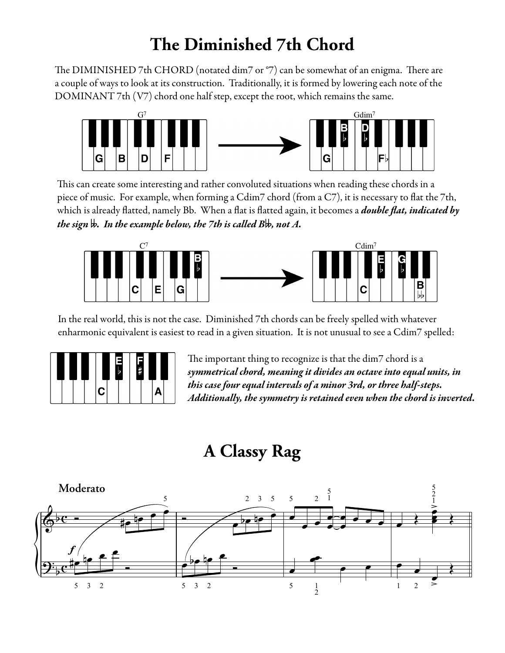## **The Diminished 7th Chord**

The DIMINISHED 7th CHORD (notated dim7 or  $\degree$ 7) can be somewhat of an enigma. There are a couple of ways to look at its construction. Traditionally, it is formed by lowering each note of the DOMINANT 7th (V7) chord one half step, except the root, which remains the same.



This can create some interesting and rather convoluted situations when reading these chords in a piece of music. For example, when forming a Cdim7 chord (from a C7), it is necessary to flat the 7th, which is already flatted, namely Bb. When a flat is flatted again, it becomes a *double flat, indicated by* the sign **√**. In the example below, the 7th is called B**√**, not A.



In the real world, this is not the case. Diminished 7th chords can be freely spelled with whatever enharmonic equivalent is easiest to read in a given situation. It is not unusual to see a Cdim7 spelled:



The important thing to recognize is that the dim7 chord is a symmetrical chord, meaning it divides an octave into equal units, in this case four equal intervals of a minor 3rd, or three half-steps. Additionally, the symmetry is retained even when the chord is inverted.

## **A Classy Rag**